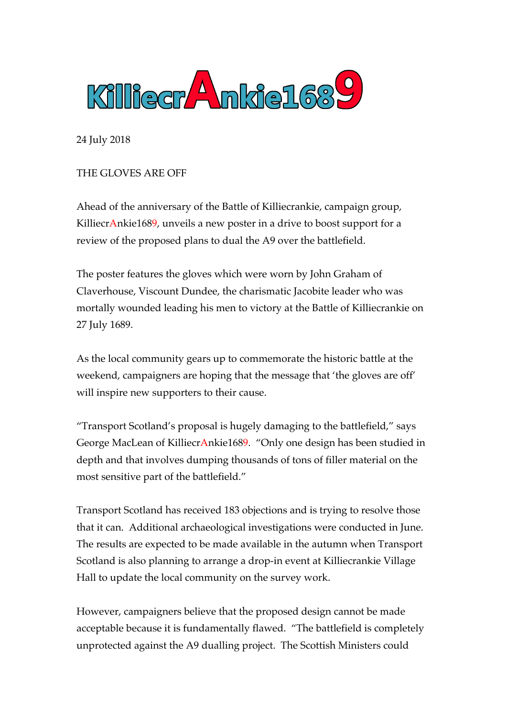

24 July 2018

THE GLOVES ARE OFF

Ahead of the anniversary of the Battle of Killiecrankie, campaign group, KilliecrAnkie1689, unveils a new poster in a drive to boost support for a review of the proposed plans to dual the A9 over the battlefield.

The poster features the gloves which were worn by John Graham of Claverhouse, Viscount Dundee, the charismatic Jacobite leader who was mortally wounded leading his men to victory at the Battle of Killiecrankie on 27 July 1689.

As the local community gears up to commemorate the historic battle at the weekend, campaigners are hoping that the message that 'the gloves are off' will inspire new supporters to their cause.

"Transport Scotland's proposal is hugely damaging to the battlefield," says George MacLean of KilliecrAnkie1689. "Only one design has been studied in depth and that involves dumping thousands of tons of filler material on the most sensitive part of the battlefield."

Transport Scotland has received 183 objections and is trying to resolve those that it can. Additional archaeological investigations were conducted in June. The results are expected to be made available in the autumn when Transport Scotland is also planning to arrange a drop-in event at Killiecrankie Village Hall to update the local community on the survey work.

However, campaigners believe that the proposed design cannot be made acceptable because it is fundamentally flawed. "The battlefield is completely unprotected against the A9 dualling project. The Scottish Ministers could